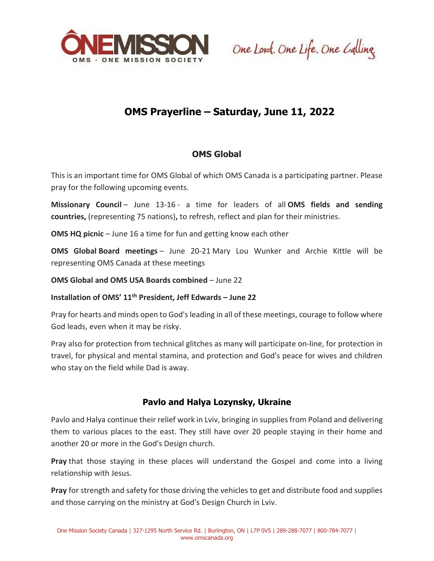

One Lord. One Life. One Calling.

## **OMS Prayerline – Saturday, June 11, 2022**

## **OMS Global**

This is an important time for OMS Global of which OMS Canada is a participating partner. Please pray for the following upcoming events.

**Missionary Council** – June 13-16 - a time for leaders of all **OMS fields and sending countries,** (representing 75 nations)**,** to refresh, reflect and plan for their ministries.

**OMS HQ picnic** – June 16 a time for fun and getting know each other

**OMS Global Board meetings** – June 20-21 Mary Lou Wunker and Archie Kittle will be representing OMS Canada at these meetings

**OMS Global and OMS USA Boards combined** – June 22

**Installation of OMS' 11th President, Jeff Edwards – June 22**

Pray for hearts and minds open to God's leading in all of these meetings, courage to follow where God leads, even when it may be risky.

Pray also for protection from technical glitches as many will participate on-line, for protection in travel, for physical and mental stamina, and protection and God's peace for wives and children who stay on the field while Dad is away.

## **Pavlo and Halya Lozynsky, Ukraine**

Pavlo and Halya continue their relief work in Lviv, bringing in supplies from Poland and delivering them to various places to the east. They still have over 20 people staying in their home and another 20 or more in the God's Design church.

**Pray** that those staying in these places will understand the Gospel and come into a living relationship with Jesus.

**Pray** for strength and safety for those driving the vehicles to get and distribute food and supplies and those carrying on the ministry at God's Design Church in Lviv.